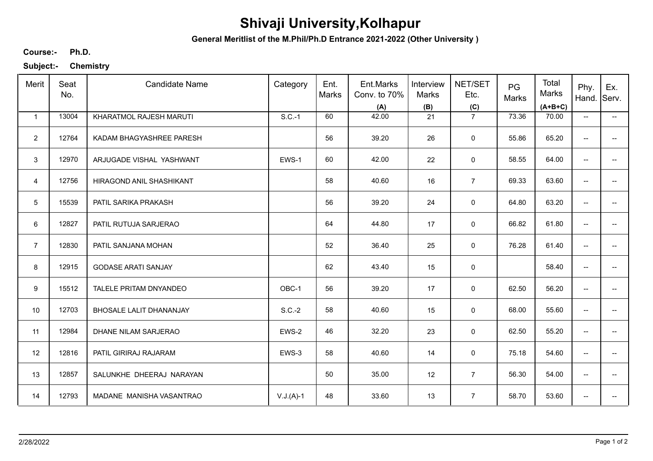## **Shivaji University,Kolhapur**

**General Meritlist of the M.Phil/Ph.D Entrance 2021-2022 (Other University )**

**Ph.D. Course:-**

**Subject:- Chemistry**

| Merit          | Seat<br>No. | <b>Candidate Name</b>          | Category    | Ent.<br>Marks | Ent.Marks<br>Conv. to 70%<br>(A) | Interview<br>Marks<br>(B) | NET/SET<br>Etc.<br>(C) | PG<br>Marks | Total<br>Marks<br>$(A+B+C)$ | Phy.<br>Hand.                       | Ex.<br>Serv.             |
|----------------|-------------|--------------------------------|-------------|---------------|----------------------------------|---------------------------|------------------------|-------------|-----------------------------|-------------------------------------|--------------------------|
| $\mathbf{1}$   | 13004       | KHARATMOL RAJESH MARUTI        | $S.C.-1$    | 60            | 42.00                            | 21                        | $\overline{7}$         | 73.36       | 70.00                       | $\hspace{0.05cm}$ $\hspace{0.05cm}$ | −−                       |
| $\overline{2}$ | 12764       | KADAM BHAGYASHREE PARESH       |             | 56            | 39.20                            | 26                        | $\mathsf 0$            | 55.86       | 65.20                       | $\overline{\phantom{a}}$            |                          |
| $\mathbf{3}$   | 12970       | ARJUGADE VISHAL YASHWANT       | EWS-1       | 60            | 42.00                            | 22                        | $\mathsf 0$            | 58.55       | 64.00                       | $\overline{\phantom{a}}$            | $\qquad \qquad -$        |
| $\overline{4}$ | 12756       | HIRAGOND ANIL SHASHIKANT       |             | 58            | 40.60                            | 16                        | $\overline{7}$         | 69.33       | 63.60                       | $\overline{\phantom{a}}$            | $\overline{\phantom{a}}$ |
| 5              | 15539       | PATIL SARIKA PRAKASH           |             | 56            | 39.20                            | 24                        | 0                      | 64.80       | 63.20                       | $\overline{\phantom{a}}$            | $\overline{\phantom{a}}$ |
| 6              | 12827       | PATIL RUTUJA SARJERAO          |             | 64            | 44.80                            | 17                        | $\mathbf 0$            | 66.82       | 61.80                       | $\overline{\phantom{m}}$            | $\overline{\phantom{a}}$ |
| $\overline{7}$ | 12830       | PATIL SANJANA MOHAN            |             | 52            | 36.40                            | 25                        | $\mathbf 0$            | 76.28       | 61.40                       | $\overline{\phantom{a}}$            |                          |
| 8              | 12915       | <b>GODASE ARATI SANJAY</b>     |             | 62            | 43.40                            | 15                        | $\mathsf 0$            |             | 58.40                       | $\overline{\phantom{m}}$            |                          |
| 9              | 15512       | TALELE PRITAM DNYANDEO         | OBC-1       | 56            | 39.20                            | 17                        | 0                      | 62.50       | 56.20                       | $\overline{\phantom{a}}$            |                          |
| 10             | 12703       | <b>BHOSALE LALIT DHANANJAY</b> | $S.C.-2$    | 58            | 40.60                            | 15                        | $\mathsf 0$            | 68.00       | 55.60                       | $\overline{\phantom{a}}$            | $\overline{a}$           |
| 11             | 12984       | DHANE NILAM SARJERAO           | EWS-2       | 46            | 32.20                            | 23                        | $\mathsf 0$            | 62.50       | 55.20                       | $\overline{\phantom{a}}$            | $\qquad \qquad -$        |
| 12             | 12816       | PATIL GIRIRAJ RAJARAM          | EWS-3       | 58            | 40.60                            | 14                        | $\mathsf 0$            | 75.18       | 54.60                       | $\overline{\phantom{m}}$            | $\overline{\phantom{a}}$ |
| 13             | 12857       | SALUNKHE DHEERAJ NARAYAN       |             | 50            | 35.00                            | 12                        | $\overline{7}$         | 56.30       | 54.00                       | $\overline{\phantom{a}}$            | $\overline{\phantom{a}}$ |
| 14             | 12793       | MADANE MANISHA VASANTRAO       | $V.J.(A)-1$ | 48            | 33.60                            | 13                        | $\overline{7}$         | 58.70       | 53.60                       | $\overline{\phantom{a}}$            |                          |